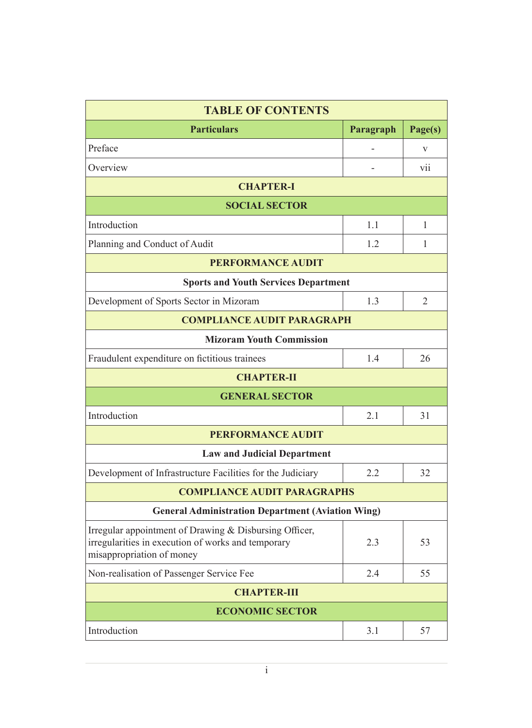| <b>TABLE OF CONTENTS</b>                                                                                                                  |           |                |  |  |  |
|-------------------------------------------------------------------------------------------------------------------------------------------|-----------|----------------|--|--|--|
| <b>Particulars</b>                                                                                                                        | Paragraph | Page(s)        |  |  |  |
| Preface                                                                                                                                   |           | V              |  |  |  |
| Overview                                                                                                                                  |           | vii            |  |  |  |
| <b>CHAPTER-I</b>                                                                                                                          |           |                |  |  |  |
| <b>SOCIAL SECTOR</b>                                                                                                                      |           |                |  |  |  |
| Introduction                                                                                                                              | 1.1       | 1              |  |  |  |
| Planning and Conduct of Audit                                                                                                             | 1.2       | 1              |  |  |  |
| <b>PERFORMANCE AUDIT</b>                                                                                                                  |           |                |  |  |  |
| <b>Sports and Youth Services Department</b>                                                                                               |           |                |  |  |  |
| Development of Sports Sector in Mizoram                                                                                                   | 1.3       | $\overline{2}$ |  |  |  |
| <b>COMPLIANCE AUDIT PARAGRAPH</b>                                                                                                         |           |                |  |  |  |
| <b>Mizoram Youth Commission</b>                                                                                                           |           |                |  |  |  |
| Fraudulent expenditure on fictitious trainees                                                                                             | 1.4       | 26             |  |  |  |
| <b>CHAPTER-II</b>                                                                                                                         |           |                |  |  |  |
| <b>GENERAL SECTOR</b>                                                                                                                     |           |                |  |  |  |
| Introduction                                                                                                                              | 2.1       | 31             |  |  |  |
| <b>PERFORMANCE AUDIT</b>                                                                                                                  |           |                |  |  |  |
| <b>Law and Judicial Department</b>                                                                                                        |           |                |  |  |  |
| Development of Infrastructure Facilities for the Judiciary                                                                                | 2.2       | 32             |  |  |  |
| <b>COMPLIANCE AUDIT PARAGRAPHS</b>                                                                                                        |           |                |  |  |  |
| <b>General Administration Department (Aviation Wing)</b>                                                                                  |           |                |  |  |  |
| Irregular appointment of Drawing & Disbursing Officer,<br>irregularities in execution of works and temporary<br>misappropriation of money | 2.3       | 53             |  |  |  |
| Non-realisation of Passenger Service Fee                                                                                                  | 2.4       | 55             |  |  |  |
| <b>CHAPTER-III</b>                                                                                                                        |           |                |  |  |  |
| <b>ECONOMIC SECTOR</b>                                                                                                                    |           |                |  |  |  |
| Introduction                                                                                                                              | 3.1       | 57             |  |  |  |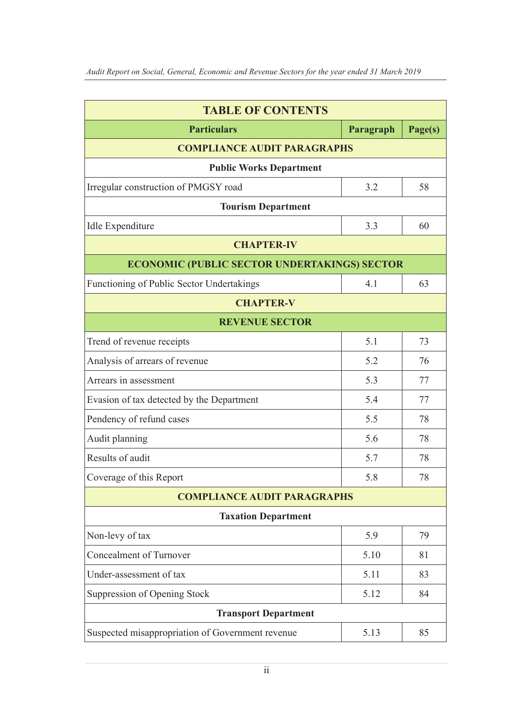| <b>TABLE OF CONTENTS</b>                            |           |         |  |  |  |
|-----------------------------------------------------|-----------|---------|--|--|--|
| <b>Particulars</b>                                  | Paragraph | Page(s) |  |  |  |
| <b>COMPLIANCE AUDIT PARAGRAPHS</b>                  |           |         |  |  |  |
| <b>Public Works Department</b>                      |           |         |  |  |  |
| Irregular construction of PMGSY road                | 3.2       | 58      |  |  |  |
| <b>Tourism Department</b>                           |           |         |  |  |  |
| Idle Expenditure                                    | 3.3       | 60      |  |  |  |
| <b>CHAPTER-IV</b>                                   |           |         |  |  |  |
| <b>ECONOMIC (PUBLIC SECTOR UNDERTAKINGS) SECTOR</b> |           |         |  |  |  |
| Functioning of Public Sector Undertakings           | 4.1       | 63      |  |  |  |
| <b>CHAPTER-V</b>                                    |           |         |  |  |  |
| <b>REVENUE SECTOR</b>                               |           |         |  |  |  |
| Trend of revenue receipts                           | 5.1       | 73      |  |  |  |
| Analysis of arrears of revenue                      | 5.2       | 76      |  |  |  |
| Arrears in assessment                               | 5.3       | 77      |  |  |  |
| Evasion of tax detected by the Department           | 5.4       | 77      |  |  |  |
| Pendency of refund cases                            | 5.5       | 78      |  |  |  |
| Audit planning                                      | 5.6       | 78      |  |  |  |
| Results of audit                                    | 5.7       | 78      |  |  |  |
| Coverage of this Report                             | 5.8       | 78      |  |  |  |
| <b>COMPLIANCE AUDIT PARAGRAPHS</b>                  |           |         |  |  |  |
| <b>Taxation Department</b>                          |           |         |  |  |  |
| Non-levy of tax                                     | 5.9       | 79      |  |  |  |
| <b>Concealment of Turnover</b>                      | 5.10      | 81      |  |  |  |
| Under-assessment of tax                             | 5.11      | 83      |  |  |  |
| Suppression of Opening Stock                        | 5.12      | 84      |  |  |  |
| <b>Transport Department</b>                         |           |         |  |  |  |
| Suspected misappropriation of Government revenue    | 5.13      | 85      |  |  |  |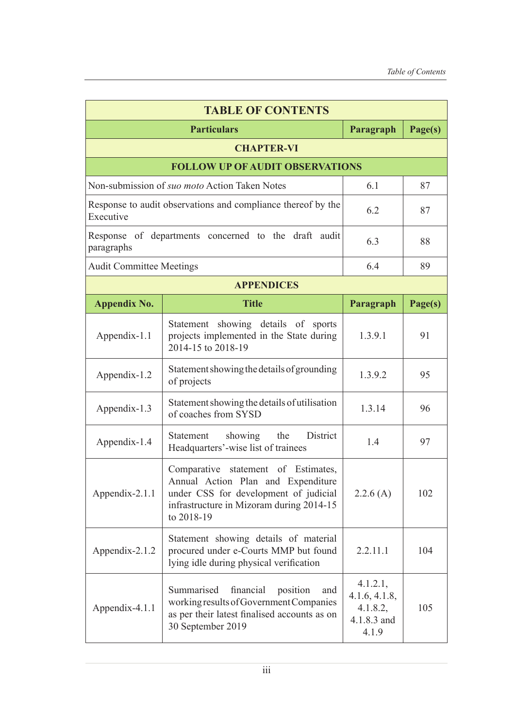| <b>TABLE OF CONTENTS</b>                                                  |                                                                                                                                                                                 |                                                               |         |  |  |
|---------------------------------------------------------------------------|---------------------------------------------------------------------------------------------------------------------------------------------------------------------------------|---------------------------------------------------------------|---------|--|--|
|                                                                           | <b>Particulars</b>                                                                                                                                                              | Paragraph                                                     | Page(s) |  |  |
| <b>CHAPTER-VI</b>                                                         |                                                                                                                                                                                 |                                                               |         |  |  |
| <b>FOLLOW UP OF AUDIT OBSERVATIONS</b>                                    |                                                                                                                                                                                 |                                                               |         |  |  |
| Non-submission of suo moto Action Taken Notes                             |                                                                                                                                                                                 | 6.1                                                           | 87      |  |  |
| Response to audit observations and compliance thereof by the<br>Executive |                                                                                                                                                                                 | 6.2                                                           | 87      |  |  |
| Response of departments concerned to the draft audit<br>paragraphs        |                                                                                                                                                                                 | 6.3                                                           | 88      |  |  |
| <b>Audit Committee Meetings</b>                                           |                                                                                                                                                                                 | 6.4                                                           | 89      |  |  |
|                                                                           | <b>APPENDICES</b>                                                                                                                                                               |                                                               |         |  |  |
| <b>Appendix No.</b>                                                       | <b>Title</b>                                                                                                                                                                    | Paragraph                                                     | Page(s) |  |  |
| Appendix-1.1                                                              | Statement showing details of sports<br>projects implemented in the State during<br>2014-15 to 2018-19                                                                           | 1.3.9.1                                                       | 91      |  |  |
| Appendix-1.2                                                              | Statement showing the details of grounding<br>of projects                                                                                                                       | 1.3.9.2                                                       | 95      |  |  |
| Appendix-1.3                                                              | Statement showing the details of utilisation<br>of coaches from SYSD                                                                                                            | 1.3.14                                                        | 96      |  |  |
| Appendix-1.4                                                              | District<br>Statement showing the<br>Headquarters'-wise list of trainees                                                                                                        | 1.4                                                           | 97      |  |  |
| Appendix-2.1.1                                                            | statement of Estimates,<br>Comparative<br>Annual Action Plan and Expenditure<br>under CSS for development of judicial<br>infrastructure in Mizoram during 2014-15<br>to 2018-19 | 2.2.6(A)                                                      | 102     |  |  |
| Appendix-2.1.2                                                            | Statement showing details of material<br>procured under e-Courts MMP but found<br>lying idle during physical verification                                                       | 2.2.11.1                                                      | 104     |  |  |
| Appendix-4.1.1                                                            | Summarised<br>financial<br>position<br>and<br>working results of Government Companies<br>as per their latest finalised accounts as on<br>30 September 2019                      | 4.1.2.1,<br>4.1.6, 4.1.8,<br>4.1.8.2,<br>4.1.8.3 and<br>4.1.9 | 105     |  |  |